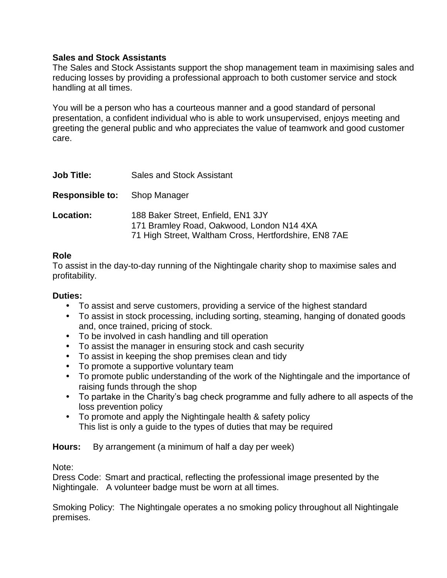## **Sales and Stock Assistants**

The Sales and Stock Assistants support the shop management team in maximising sales and reducing losses by providing a professional approach to both customer service and stock handling at all times.

You will be a person who has a courteous manner and a good standard of personal presentation, a confident individual who is able to work unsupervised, enjoys meeting and greeting the general public and who appreciates the value of teamwork and good customer care.

| <b>Job Title:</b>                   | <b>Sales and Stock Assistant</b>                                                                                                         |
|-------------------------------------|------------------------------------------------------------------------------------------------------------------------------------------|
| <b>Responsible to:</b> Shop Manager |                                                                                                                                          |
| Location:                           | 188 Baker Street, Enfield, EN1 3JY<br>171 Bramley Road, Oakwood, London N14 4XA<br>71 High Street, Waltham Cross, Hertfordshire, EN8 7AE |

## **Role**

To assist in the day-to-day running of the Nightingale charity shop to maximise sales and profitability.

## **Duties:**

- To assist and serve customers, providing a service of the highest standard
- To assist in stock processing, including sorting, steaming, hanging of donated goods and, once trained, pricing of stock.
- To be involved in cash handling and till operation
- To assist the manager in ensuring stock and cash security
- To assist in keeping the shop premises clean and tidy
- To promote a supportive voluntary team
- To promote public understanding of the work of the Nightingale and the importance of raising funds through the shop
- To partake in the Charity's bag check programme and fully adhere to all aspects of the loss prevention policy
- To promote and apply the Nightingale health & safety policy This list is only a guide to the types of duties that may be required

**Hours:** By arrangement (a minimum of half a day per week)

Note:

Dress Code: Smart and practical, reflecting the professional image presented by the Nightingale. A volunteer badge must be worn at all times.

Smoking Policy: The Nightingale operates a no smoking policy throughout all Nightingale premises.